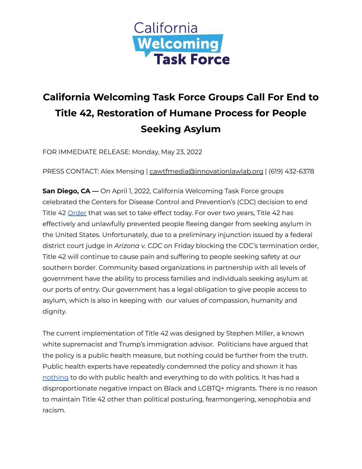

## **California Welcoming Task Force Groups Call For End to Title 42, Restoration of Humane Process for People Seeking Asylum**

FOR IMMEDIATE RELEASE: Monday, May 23, 2022

PRESS CONTACT: Alex Mensing | cawtfmedia@innovationlawlab.org | (619) 432-6378

**San Diego, CA —** On April 1, 2022, California Welcoming Task Force groups celebrated the Centers for Disease Control and Prevention's (CDC) decision to end Title 42 [Order](https://www.cdc.gov/media/releases/2022/s0401-title-42.html) that was set to take effect today. For over two years, Title 42 has effectively and unlawfully prevented people fleeing danger from seeking asylum in the United States. Unfortunately, due to a preliminary injunction issued by a federal district court judge in *Arizona v. CDC* on Friday blocking the CDC's termination order, Title 42 will continue to cause pain and suffering to people seeking safety at our southern border. Community based organizations in partnership with all levels of government have the ability to process families and individuals seeking asylum at our ports of entry. Our government has a legal obligation to give people access to asylum, which is also in keeping with our values of compassion, humanity and dignity.

The current implementation of Title 42 was designed by Stephen Miller, a known white supremacist and Trump's immigration advisor. Politicians have argued that the policy is a public health measure, but nothing could be further from the truth. Public health experts have repeatedly condemned the policy and shown it has [nothing](https://t.co/SIGHj4Wara) to do with public health and everything to do with politics. It has had a disproportionate negative impact on Black and LGBTQ+ migrants. There is no reason to maintain Title 42 other than political posturing, fearmongering, xenophobia and racism.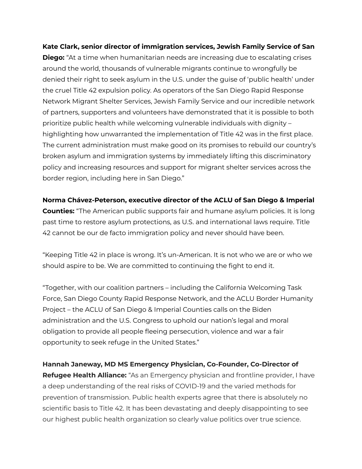**Kate Clark, senior director of immigration services, Jewish Family Service of San Diego:** "At a time when humanitarian needs are increasing due to escalating crises around the world, thousands of vulnerable migrants continue to wrongfully be denied their right to seek asylum in the U.S. under the guise of 'public health' under the cruel Title 42 expulsion policy. As operators of the San Diego Rapid Response Network Migrant Shelter Services, Jewish Family Service and our incredible network of partners, supporters and volunteers have demonstrated that it is possible to both prioritize public health while welcoming vulnerable individuals with dignity – highlighting how unwarranted the implementation of Title 42 was in the first place. The current administration must make good on its promises to rebuild our country's broken asylum and immigration systems by immediately lifting this discriminatory policy and increasing resources and support for migrant shelter services across the border region, including here in San Diego."

**Norma Chávez-Peterson, executive director of the ACLU of San Diego & Imperial Counties:** "The American public supports fair and humane asylum policies. It is long past time to restore asylum protections, as U.S. and international laws require. Title 42 cannot be our de facto immigration policy and never should have been.

"Keeping Title 42 in place is wrong. It's un-American. It is not who we are or who we should aspire to be. We are committed to continuing the fight to end it.

"Together, with our coalition partners – including the California Welcoming Task Force, San Diego County Rapid Response Network, and the ACLU Border Humanity Project – the ACLU of San Diego & Imperial Counties calls on the Biden administration and the U.S. Congress to uphold our nation's legal and moral obligation to provide all people fleeing persecution, violence and war a fair opportunity to seek refuge in the United States."

**Hannah Janeway, MD MS Emergency Physician, Co-Founder, Co-Director of Refugee Health Alliance:** "As an Emergency physician and frontline provider, I have a deep understanding of the real risks of COVID-19 and the varied methods for prevention of transmission. Public health experts agree that there is absolutely no scientific basis to Title 42. It has been devastating and deeply disappointing to see our highest public health organization so clearly value politics over true science.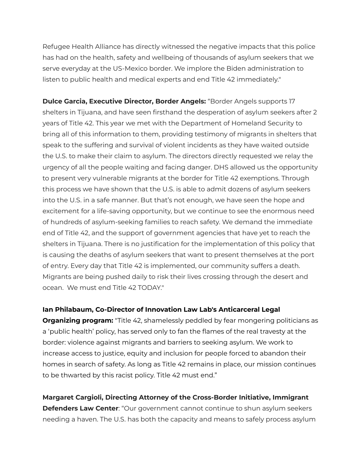Refugee Health Alliance has directly witnessed the negative impacts that this police has had on the health, safety and wellbeing of thousands of asylum seekers that we serve everyday at the US-Mexico border. We implore the Biden administration to listen to public health and medical experts and end Title 42 immediately."

**Dulce Garcia, Executive Director, Border Angels:** "Border Angels supports 17 shelters in Tijuana, and have seen firsthand the desperation of asylum seekers after 2 years of Title 42. This year we met with the Department of Homeland Security to bring all of this information to them, providing testimony of migrants in shelters that speak to the suffering and survival of violent incidents as they have waited outside the U.S. to make their claim to asylum. The directors directly requested we relay the urgency of all the people waiting and facing danger. DHS allowed us the opportunity to present very vulnerable migrants at the border for Title 42 exemptions. Through this process we have shown that the U.S. is able to admit dozens of asylum seekers into the U.S. in a safe manner. But that's not enough, we have seen the hope and excitement for a life-saving opportunity, but we continue to see the enormous need of hundreds of asylum-seeking families to reach safety. We demand the immediate end of Title 42, and the support of government agencies that have yet to reach the shelters in Tijuana. There is no justification for the implementation of this policy that is causing the deaths of asylum seekers that want to present themselves at the port of entry. Every day that Title 42 is implemented, our community suffers a death. Migrants are being pushed daily to risk their lives crossing through the desert and ocean. We must end Title 42 TODAY."

## **Ian Philabaum, Co-Director of Innovation Law Lab's Anticarceral Legal**

**Organizing program:** "Title 42, shamelessly peddled by fear mongering politicians as a 'public health' policy, has served only to fan the flames of the real travesty at the border: violence against migrants and barriers to seeking asylum. We work to increase access to justice, equity and inclusion for people forced to abandon their homes in search of safety. As long as Title 42 remains in place, our mission continues to be thwarted by this racist policy. Title 42 must end."

**Margaret Cargioli, Directing Attorney of the Cross-Border Initiative, Immigrant Defenders Law Center**: "Our government cannot continue to shun asylum seekers needing a haven. The U.S. has both the capacity and means to safely process asylum